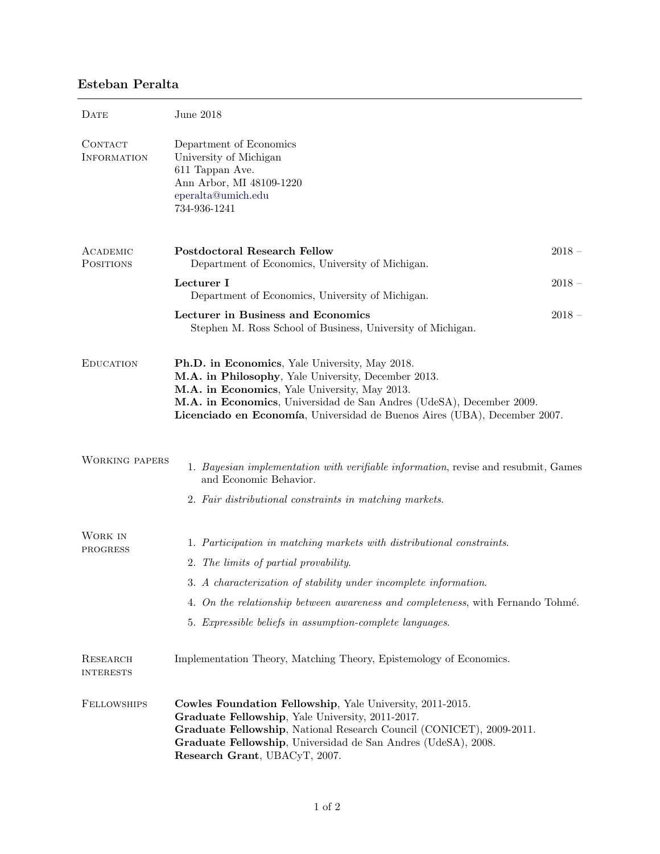## Esteban Peralta

| DATE                          | June 2018                                                                                                                                                                                                                                                                                                   |  |
|-------------------------------|-------------------------------------------------------------------------------------------------------------------------------------------------------------------------------------------------------------------------------------------------------------------------------------------------------------|--|
| CONTACT<br><b>INFORMATION</b> | Department of Economics<br>University of Michigan<br>611 Tappan Ave.<br>Ann Arbor, MI 48109-1220<br>eperalta@umich.edu<br>734-936-1241                                                                                                                                                                      |  |
| ACADEMIC<br><b>POSITIONS</b>  | <b>Postdoctoral Research Fellow</b><br>$2018 -$<br>Department of Economics, University of Michigan.                                                                                                                                                                                                         |  |
|                               | Lecturer I<br>$2018 -$<br>Department of Economics, University of Michigan.                                                                                                                                                                                                                                  |  |
|                               | Lecturer in Business and Economics<br>$2018 -$<br>Stephen M. Ross School of Business, University of Michigan.                                                                                                                                                                                               |  |
| <b>EDUCATION</b>              | Ph.D. in Economics, Yale University, May 2018.<br>M.A. in Philosophy, Yale University, December 2013.<br>M.A. in Economics, Yale University, May 2013.<br>M.A. in Economics, Universidad de San Andres (UdeSA), December 2009.<br>Licenciado en Economía, Universidad de Buenos Aires (UBA), December 2007. |  |
| <b>WORKING PAPERS</b>         | 1. Bayesian implementation with verifiable information, revise and resubmit, Games<br>and Economic Behavior.                                                                                                                                                                                                |  |
|                               | 2. Fair distributional constraints in matching markets.                                                                                                                                                                                                                                                     |  |
| WORK IN<br>PROGRESS           | 1. Participation in matching markets with distributional constraints.<br>2. The limits of partial provability.<br>3. A characterization of stability under incomplete information.<br>4. On the relationship between awareness and completeness, with Fernando Tohmé.                                       |  |
|                               | 5. Expressible beliefs in assumption-complete languages.                                                                                                                                                                                                                                                    |  |
| RESEARCH<br><b>INTERESTS</b>  | Implementation Theory, Matching Theory, Epistemology of Economics.                                                                                                                                                                                                                                          |  |
| <b>FELLOWSHIPS</b>            | Cowles Foundation Fellowship, Yale University, 2011-2015.<br>Graduate Fellowship, Yale University, 2011-2017.<br>Graduate Fellowship, National Research Council (CONICET), 2009-2011.<br>Graduate Fellowship, Universidad de San Andres (UdeSA), 2008.<br>Research Grant, UBACyT, 2007.                     |  |